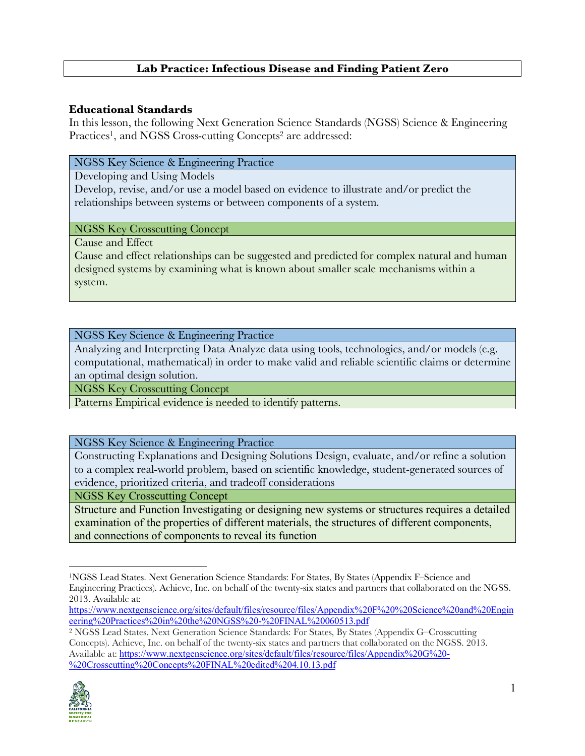# **Lab Practice: Infectious Disease and Finding Patient Zero**

#### **Educational Standards**

In this lesson, the following Next Generation Science Standards (NGSS) Science & Engineering Practices<sup>1</sup>, and NGSS Cross-cutting Concepts<sup>2</sup> are addressed:

#### NGSS Key Science & Engineering Practice

Developing and Using Models

Develop, revise, and/or use a model based on evidence to illustrate and/or predict the relationships between systems or between components of a system.

#### NGSS Key Crosscutting Concept

Cause and Effect

Cause and effect relationships can be suggested and predicted for complex natural and human designed systems by examining what is known about smaller scale mechanisms within a system.

NGSS Key Science & Engineering Practice

Analyzing and Interpreting Data Analyze data using tools, technologies, and/or models (e.g. computational, mathematical) in order to make valid and reliable scientific claims or determine an optimal design solution.

NGSS Key Crosscutting Concept

Patterns Empirical evidence is needed to identify patterns.

NGSS Key Science & Engineering Practice

Constructing Explanations and Designing Solutions Design, evaluate, and/or refine a solution to a complex real-world problem, based on scientific knowledge, student-generated sources of evidence, prioritized criteria, and tradeoff considerations

NGSS Key Crosscutting Concept

Structure and Function Investigating or designing new systems or structures requires a detailed examination of the properties of different materials, the structures of different components, and connections of components to reveal its function

<sup>2</sup> NGSS Lead States. Next Generation Science Standards: For States, By States (Appendix G–Crosscutting Concepts). Achieve, Inc. on behalf of the twenty-six states and partners that collaborated on the NGSS. 2013. Available at: https://www.nextgenscience.org/sites/default/files/resource/files/Appendix%20G%20- %20Crosscutting%20Concepts%20FINAL%20edited%204.10.13.pdf



<u>.</u>

<sup>1</sup>NGSS Lead States. Next Generation Science Standards: For States, By States (Appendix F–Science and Engineering Practices). Achieve, Inc. on behalf of the twenty-six states and partners that collaborated on the NGSS. 2013. Available at:

https://www.nextgenscience.org/sites/default/files/resource/files/Appendix%20F%20%20Science%20and%20Engin eering%20Practices%20in%20the%20NGSS%20-%20FINAL%20060513.pdf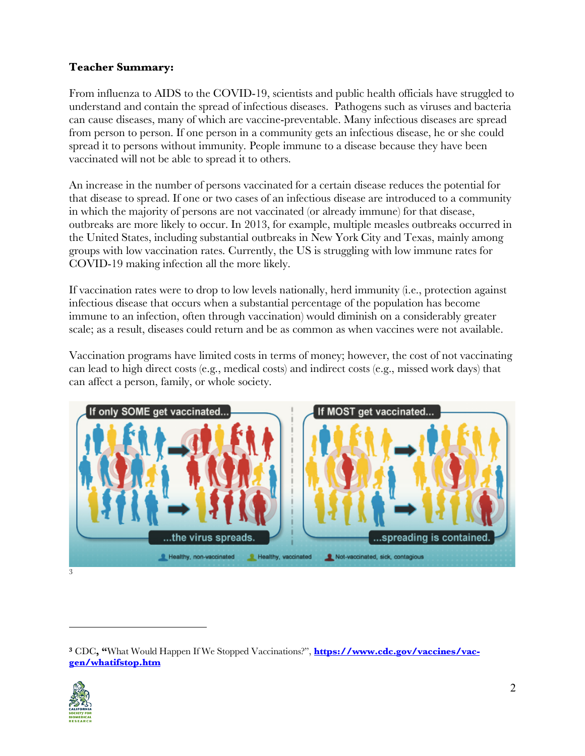# **Teacher Summary:**

From influenza to AIDS to the COVID-19, scientists and public health officials have struggled to understand and contain the spread of infectious diseases. Pathogens such as viruses and bacteria can cause diseases, many of which are vaccine-preventable. Many infectious diseases are spread from person to person. If one person in a community gets an infectious disease, he or she could spread it to persons without immunity. People immune to a disease because they have been vaccinated will not be able to spread it to others.

An increase in the number of persons vaccinated for a certain disease reduces the potential for that disease to spread. If one or two cases of an infectious disease are introduced to a community in which the majority of persons are not vaccinated (or already immune) for that disease, outbreaks are more likely to occur. In 2013, for example, multiple measles outbreaks occurred in the United States, including substantial outbreaks in New York City and Texas, mainly among groups with low vaccination rates. Currently, the US is struggling with low immune rates for COVID-19 making infection all the more likely.

If vaccination rates were to drop to low levels nationally, herd immunity (i.e., protection against infectious disease that occurs when a substantial percentage of the population has become immune to an infection, often through vaccination) would diminish on a considerably greater scale; as a result, diseases could return and be as common as when vaccines were not available.

Vaccination programs have limited costs in terms of money; however, the cost of not vaccinating can lead to high direct costs (e.g., medical costs) and indirect costs (e.g., missed work days) that can affect a person, family, or whole society.



<sup>&</sup>lt;sup>3</sup> CDC, "What Would Happen If We Stopped Vaccinations?", **https://www.cdc.gov/vaccines/vacgen/whatifstop.htm**



<u>.</u>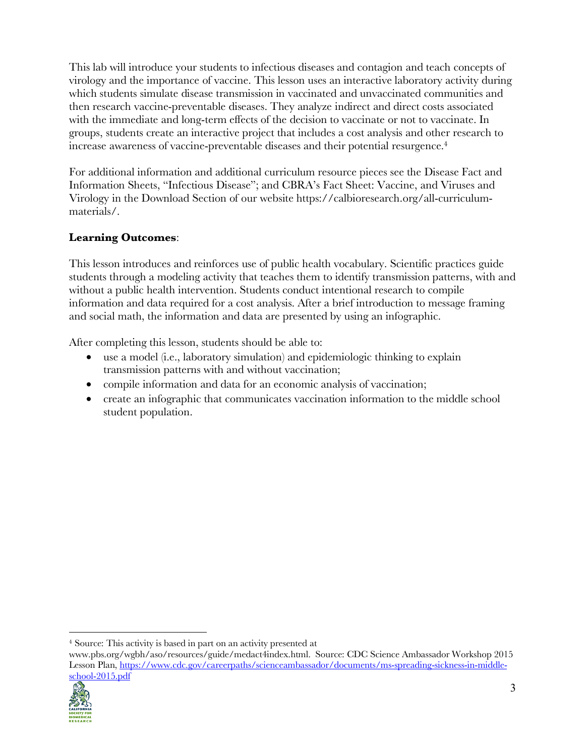This lab will introduce your students to infectious diseases and contagion and teach concepts of virology and the importance of vaccine. This lesson uses an interactive laboratory activity during which students simulate disease transmission in vaccinated and unvaccinated communities and then research vaccine-preventable diseases. They analyze indirect and direct costs associated with the immediate and long-term effects of the decision to vaccinate or not to vaccinate. In groups, students create an interactive project that includes a cost analysis and other research to increase awareness of vaccine-preventable diseases and their potential resurgence.4

For additional information and additional curriculum resource pieces see the Disease Fact and Information Sheets, "Infectious Disease"; and CBRA's Fact Sheet: Vaccine, and Viruses and Virology in the Download Section of our website https://calbioresearch.org/all-curriculummaterials/.

# **Learning Outcomes**:

This lesson introduces and reinforces use of public health vocabulary. Scientific practices guide students through a modeling activity that teaches them to identify transmission patterns, with and without a public health intervention. Students conduct intentional research to compile information and data required for a cost analysis. After a brief introduction to message framing and social math, the information and data are presented by using an infographic.

After completing this lesson, students should be able to:

- use a model (i.e., laboratory simulation) and epidemiologic thinking to explain transmission patterns with and without vaccination;
- compile information and data for an economic analysis of vaccination;
- create an infographic that communicates vaccination information to the middle school student population.

www.pbs.org/wgbh/aso/resources/guide/medact4index.html. Source: CDC Science Ambassador Workshop 2015 Lesson Plan, https://www.cdc.gov/careerpaths/scienceambassador/documents/ms-spreading-sickness-in-middleschool-2015.pdf



<sup>&</sup>lt;u>.</u> <sup>4</sup> Source: This activity is based in part on an activity presented at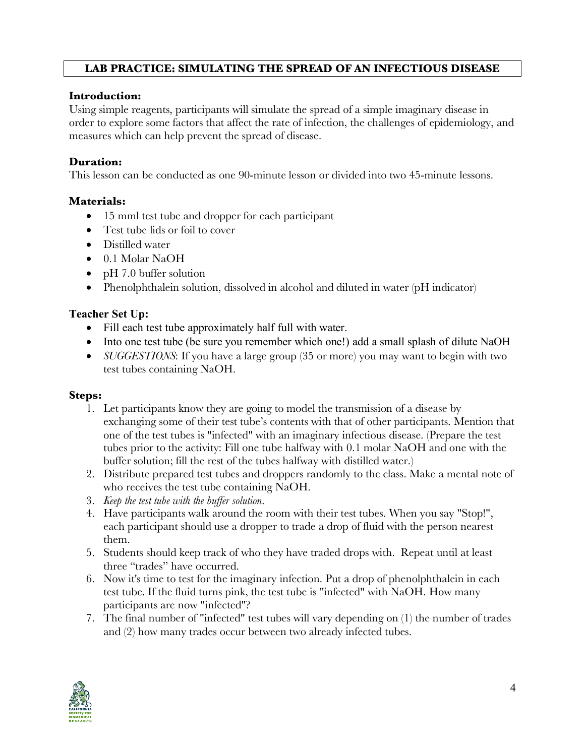# **LAB PRACTICE: SIMULATING THE SPREAD OF AN INFECTIOUS DISEASE**

### **Introduction:**

Using simple reagents, participants will simulate the spread of a simple imaginary disease in order to explore some factors that affect the rate of infection, the challenges of epidemiology, and measures which can help prevent the spread of disease.

### **Duration:**

This lesson can be conducted as one 90-minute lesson or divided into two 45-minute lessons.

# **Materials:**

- 15 mml test tube and dropper for each participant
- Test tube lids or foil to cover
- Distilled water
- 0.1 Molar NaOH
- pH 7.0 buffer solution
- Phenolphthalein solution, dissolved in alcohol and diluted in water (pH indicator)

#### **Teacher Set Up:**

- Fill each test tube approximately half full with water.
- Into one test tube (be sure you remember which one!) add a small splash of dilute NaOH
- *SUGGESTIONS*: If you have a large group (35 or more) you may want to begin with two test tubes containing NaOH.

#### **Steps:**

- 1. Let participants know they are going to model the transmission of a disease by exchanging some of their test tube's contents with that of other participants. Mention that one of the test tubes is "infected" with an imaginary infectious disease. (Prepare the test tubes prior to the activity: Fill one tube halfway with 0.1 molar NaOH and one with the buffer solution; fill the rest of the tubes halfway with distilled water.)
- 2. Distribute prepared test tubes and droppers randomly to the class. Make a mental note of who receives the test tube containing NaOH.
- 3. *Keep the test tube with the buffer solution*.
- 4. Have participants walk around the room with their test tubes. When you say "Stop!", each participant should use a dropper to trade a drop of fluid with the person nearest them.
- 5. Students should keep track of who they have traded drops with. Repeat until at least three "trades" have occurred.
- 6. Now it's time to test for the imaginary infection. Put a drop of phenolphthalein in each test tube. If the fluid turns pink, the test tube is "infected" with NaOH. How many participants are now "infected"?
- 7. The final number of "infected" test tubes will vary depending on (1) the number of trades and (2) how many trades occur between two already infected tubes.

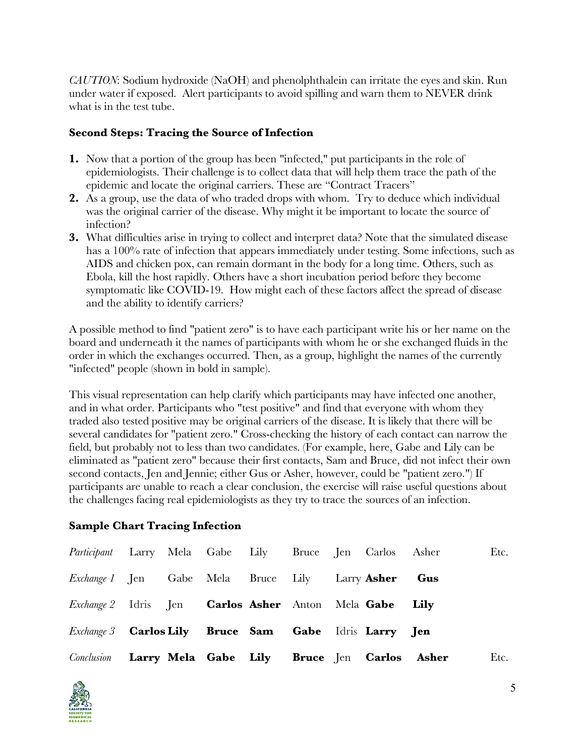*CAUTION*: Sodium hydroxide (NaOH) and phenolphthalein can irritate the eyes and skin. Run under water if exposed. Alert participants to avoid spilling and warn them to NEVER drink what is in the test tube.

# **Second Steps: Tracing the Source of Infection**

- **1.** Now that a portion of the group has been "infected," put participants in the role of epidemiologists. Their challenge is to collect data that will help them trace the path of the epidemic and locate the original carriers. These are "Contract Tracers"
- **2.** As a group, use the data of who traded drops with whom. Try to deduce which individual was the original carrier of the disease. Why might it be important to locate the source of infection?
- **3.** What difficulties arise in trying to collect and interpret data? Note that the simulated disease has a 100% rate of infection that appears immediately under testing. Some infections, such as AIDS and chicken pox, can remain dormant in the body for a long time. Others, such as Ebola, kill the host rapidly. Others have a short incubation period before they become symptomatic like COVID-19. How might each of these factors affect the spread of disease and the ability to identify carriers?

A possible method to find "patient zero" is to have each participant write his or her name on the board and underneath it the names of participants with whom he or she exchanged fluids in the order in which the exchanges occurred. Then, as a group, highlight the names of the currently "infected" people (shown in bold in sample).

This visual representation can help clarify which participants may have infected one another, and in what order. Participants who "test positive" and find that everyone with whom they traded also tested positive may be original carriers of the disease. It is likely that there will be several candidates for "patient zero." Cross-checking the history of each contact can narrow the field, but probably not to less than two candidates. (For example, here, Gabe and Lily can be eliminated as "patient zero" because their first contacts, Sam and Bruce, did not infect their own second contacts, Jen and Jennie; either Gus or Asher, however, could be "patient zero.") If participants are unable to reach a clear conclusion, the exercise will raise useful questions about the challenges facing real epidemiologists as they try to trace the sources of an infection.

# **Sample Chart Tracing Infection**

| Conclusion Larry Mela Gabe Lily Bruce Jen Carlos Asher               |                                                                     |  |  |  |  | Etc. |
|----------------------------------------------------------------------|---------------------------------------------------------------------|--|--|--|--|------|
|                                                                      | <i>Exchange 3</i> <b>Carlos Lily Bruce Sam Gabe</b> Idris Larry Jen |  |  |  |  |      |
| <i>Exchange 2</i> Idris Jen <b>Carlos Asher</b> Anton Mela Gabe Lily |                                                                     |  |  |  |  |      |
| <i>Exchange 1</i> Jen Gabe Mela Bruce Lily Larry Asher Gus           |                                                                     |  |  |  |  |      |
| Participant Larry Mela Gabe Lily Bruce Jen Carlos Asher              |                                                                     |  |  |  |  | Etc. |

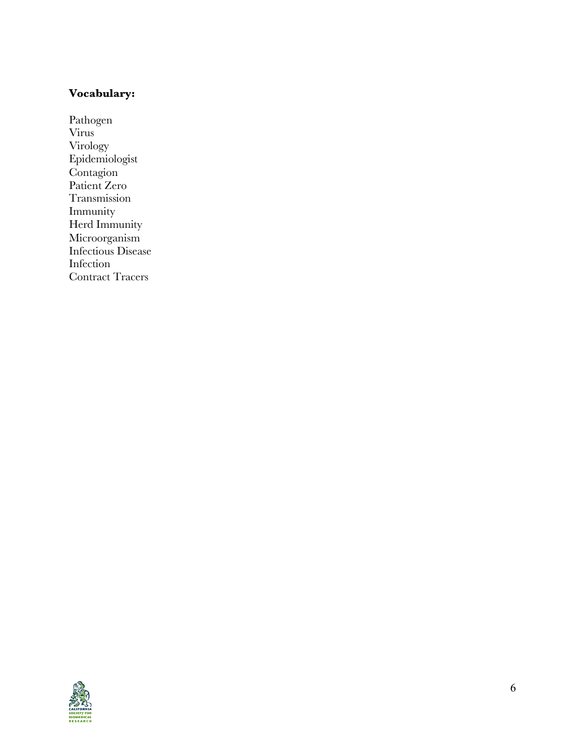### **Vocabulary :**

Pathogen Virus Virology Epidemiologist Contagion Patient Zero Transmission Immunity Herd Immunity Microorganism Infectious Disease Infection Contract Tracers

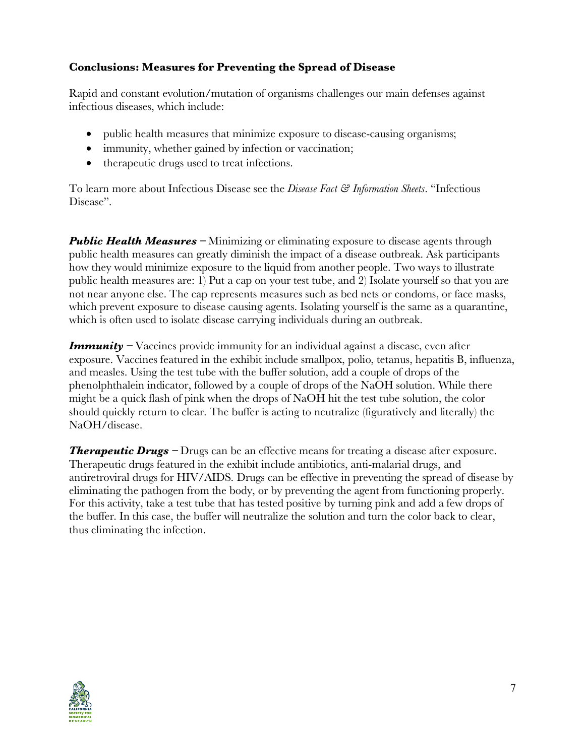# **Conclusions: Measures for Preventing the Spread of Disease**

Rapid and constant evolution/mutation of organisms challenges our main defenses against infectious diseases, which include:

- public health measures that minimize exposure to disease-causing organisms;
- immunity, whether gained by infection or vaccination;
- therapeutic drugs used to treat infections.

To learn more about Infectious Disease see the *Disease Fact & Information Sheets*. "Infectious Disease".

*Public Health Measures* – Minimizing or eliminating exposure to disease agents through public health measures can greatly diminish the impact of a disease outbreak. Ask participants how they would minimize exposure to the liquid from another people. Two ways to illustrate public health measures are: 1) Put a cap on your test tube, and 2) Isolate yourself so that you are not near anyone else. The cap represents measures such as bed nets or condoms, or face masks, which prevent exposure to disease causing agents. Isolating yourself is the same as a quarantine, which is often used to isolate disease carrying individuals during an outbreak.

*Immunity* – Vaccines provide immunity for an individual against a disease, even after exposure. Vaccines featured in the exhibit include smallpox, polio, tetanus, hepatitis B, influenza, and measles. Using the test tube with the buffer solution, add a couple of drops of the phenolphthalein indicator, followed by a couple of drops of the NaOH solution. While there might be a quick flash of pink when the drops of NaOH hit the test tube solution, the color should quickly return to clear. The buffer is acting to neutralize (figuratively and literally) the NaOH/disease.

**Therapeutic Drugs –** Drugs can be an effective means for treating a disease after exposure. Therapeutic drugs featured in the exhibit include antibiotics, anti-malarial drugs, and antiretroviral drugs for HIV/AIDS. Drugs can be effective in preventing the spread of disease by eliminating the pathogen from the body, or by preventing the agent from functioning properly. For this activity, take a test tube that has tested positive by turning pink and add a few drops of the buffer. In this case, the buffer will neutralize the solution and turn the color back to clear, thus eliminating the infection.